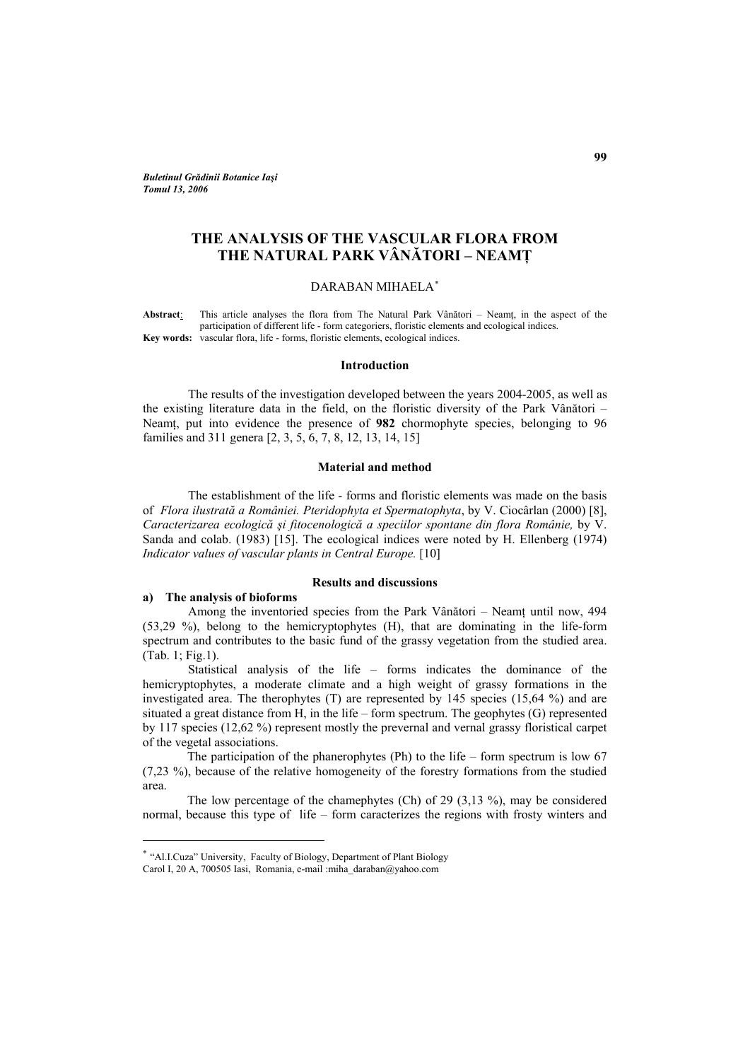<span id="page-0-0"></span>*Buletinul Grădinii Botanice Iaşi Tomul 13, 2006* 

# **THE ANALYSIS OF THE VASCULAR FLORA FROM THE NATURAL PARK VÂNĂTORI – NEAMŢ**

# DARABAN MIHAELA[∗](#page-0-0)

Abstract: This article analyses the flora from The Natural Park Vânători – Neamt, in the aspect of the participation of different life - form categoriers, floristic elements and ecological indices. **Key words:** vascular flora, life - forms, floristic elements, ecological indices.

### **Introduction**

The results of the investigation developed between the years 2004-2005, as well as the existing literature data in the field, on the floristic diversity of the Park Vânători – Neamt, put into evidence the presence of **982** chormophyte species, belonging to 96 families and 311 genera [2, 3, 5, 6, 7, 8, 12, 13, 14, 15]

### **Material and method**

The establishment of the life - forms and floristic elements was made on the basis of *Flora ilustrată a României. Pteridophyta et Spermatophyta*, by V. Ciocârlan (2000) [8], *Caracterizarea ecologică şi fitocenologică a speciilor spontane din flora Românie,* by V. Sanda and colab. (1983) [15]. The ecological indices were noted by H. Ellenberg (1974) *Indicator values of vascular plants in Central Europe.* [10]

#### **Results and discussions**

### **a) The analysis of bioforms**

 $\overline{a}$ 

Among the inventoried species from the Park Vânători – Neamt until now, 494 (53,29 %), belong to the hemicryptophytes (H), that are dominating in the life-form spectrum and contributes to the basic fund of the grassy vegetation from the studied area. (Tab. 1; Fig.1).

 Statistical analysis of the life – forms indicates the dominance of the hemicryptophytes, a moderate climate and a high weight of grassy formations in the investigated area. The therophytes (T) are represented by 145 species (15,64 %) and are situated a great distance from H, in the life – form spectrum. The geophytes (G) represented by 117 species (12,62 %) represent mostly the prevernal and vernal grassy floristical carpet of the vegetal associations.

The participation of the phanerophytes (Ph) to the life – form spectrum is low 67 (7,23 %), because of the relative homogeneity of the forestry formations from the studied area.

The low percentage of the chamephytes (Ch) of 29 (3,13 %), may be considered normal, because this type of life – form caracterizes the regions with frosty winters and

<sup>∗</sup> "Al.I.Cuza" University, Faculty of Biology, Department of Plant Biology

Carol I, 20 A, 700505 Iasi, Romania, e-mail :miha\_daraban@yahoo.com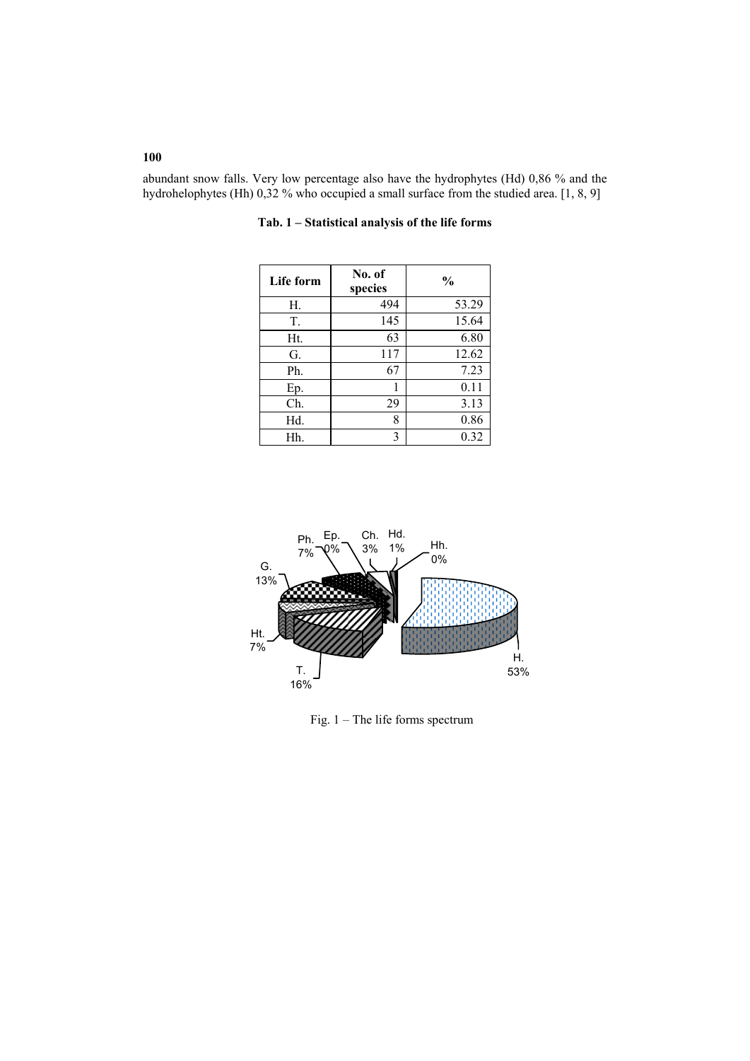abundant snow falls. Very low percentage also have the hydrophytes (Hd) 0,86 % and the hydrohelophytes (Hh) 0,32 % who occupied a small surface from the studied area. [1, 8, 9]

| Life form | No. of<br>species | $\frac{0}{0}$ |
|-----------|-------------------|---------------|
| Н.        | 494               | 53.29         |
| T.        | 145               | 15.64         |
| Ht.       | 63                | 6.80          |
| G.        | 117               | 12.62         |
| Ph.       | 67                | 7.23          |
| Ep.       | 1                 | 0.11          |
| Ch.       | 29                | 3.13          |
| Hd.       | 8                 | 0.86          |
| Hh.       | 3                 | 0.32          |

**Tab. 1 – Statistical analysis of the life forms** 



Fig. 1 – The life forms spectrum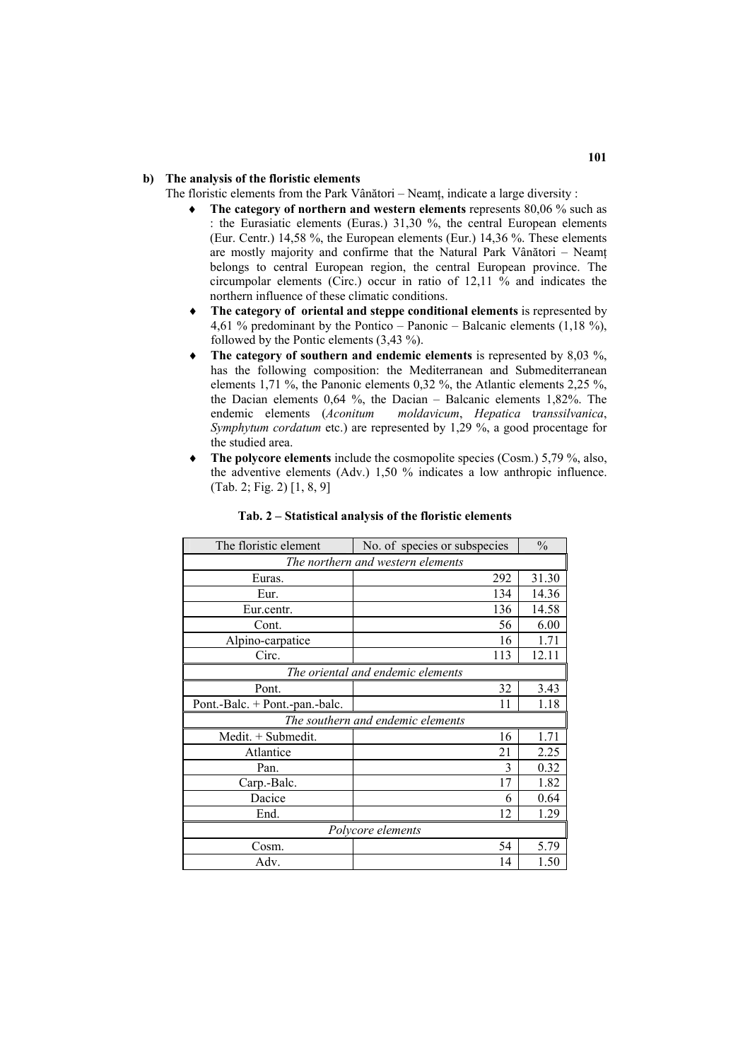# **b) The analysis of the floristic elements**

- The floristic elements from the Park Vânători Neamţ, indicate a large diversity :
	- **The category of northern and western elements** represents 80,06 % such as : the Eurasiatic elements (Euras.) 31,30 %, the central European elements (Eur. Centr.) 14,58 %, the European elements (Eur.) 14,36 %. These elements are mostly majority and confirme that the Natural Park Vânători – Neamţ belongs to central European region, the central European province. The circumpolar elements (Circ.) occur in ratio of 12,11 % and indicates the northern influence of these climatic conditions.
	- ♦ **The category of oriental and steppe conditional elements** is represented by 4,61 % predominant by the Pontico – Panonic – Balcanic elements  $(1,18\%)$ , followed by the Pontic elements (3,43 %).
	- The category of southern and endemic elements is represented by 8,03 %, has the following composition: the Mediterranean and Submediterranean elements 1,71 %, the Panonic elements 0,32 %, the Atlantic elements 2,25 %, the Dacian elements 0,64 %, the Dacian – Balcanic elements 1,82%. The endemic elements (*Aconitum moldavicum*, *Hepatica* t*ranssilvanica*, *Symphytum cordatum* etc.) are represented by 1,29 %, a good procentage for the studied area.
	- The polycore elements include the cosmopolite species (Cosm.) 5,79 %, also, the adventive elements (Adv.) 1,50 % indicates a low anthropic influence. (Tab. 2; Fig. 2) [1, 8, 9]

| The floristic element             | No. of species or subspecies | $\frac{0}{0}$ |  |  |  |  |
|-----------------------------------|------------------------------|---------------|--|--|--|--|
| The northern and western elements |                              |               |  |  |  |  |
| Euras.                            | 292                          | 31.30         |  |  |  |  |
| Eur.                              | 134                          | 14.36         |  |  |  |  |
| Eur.centr.                        | 136                          | 14.58         |  |  |  |  |
| Cont.                             | 56                           | 6.00          |  |  |  |  |
| Alpino-carpatice                  | 16                           | 1.71          |  |  |  |  |
| Circ.                             | 113                          | 12.11         |  |  |  |  |
| The oriental and endemic elements |                              |               |  |  |  |  |
| Pont.                             | 32                           | 3.43          |  |  |  |  |
| Pont.-Balc. + Pont.-pan.-balc.    | 11                           | 1.18          |  |  |  |  |
| The southern and endemic elements |                              |               |  |  |  |  |
| Medit. + Submedit.                | 16                           | 1.71          |  |  |  |  |
| Atlantice                         | 21                           | 2.25          |  |  |  |  |
| Pan.                              | 3                            | 0.32          |  |  |  |  |
| Carp.-Balc.                       | 17                           | 1.82          |  |  |  |  |
| Dacice                            | 6                            | 0.64          |  |  |  |  |
| End.                              | 12                           | 1.29          |  |  |  |  |
| Polycore elements                 |                              |               |  |  |  |  |
| Cosm.                             | 54                           | 5.79          |  |  |  |  |
| Adv.                              | 14                           | 1.50          |  |  |  |  |

### **Tab. 2 – Statistical analysis of the floristic elements**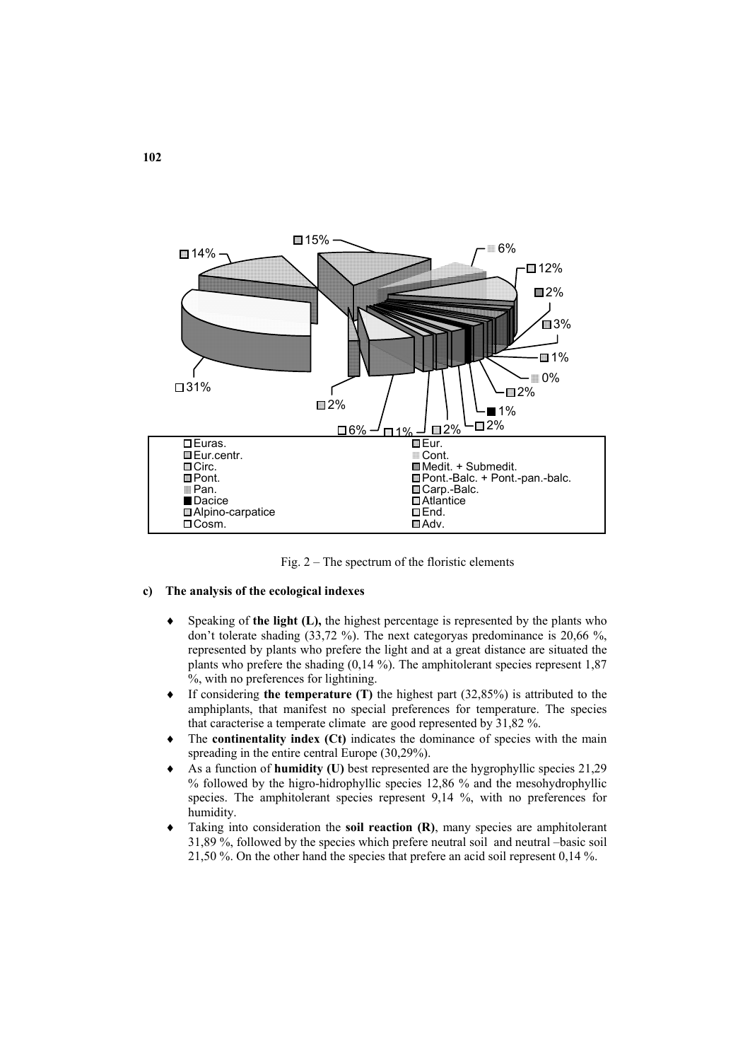

Fig. 2 – The spectrum of the floristic elements

# **c) The analysis of the ecological indexes**

- ♦ Speaking of **the light (L),** the highest percentage is represented by the plants who don't tolerate shading (33,72 %). The next categoryas predominance is 20,66 %, represented by plants who prefere the light and at a great distance are situated the plants who prefere the shading (0,14 %). The amphitolerant species represent 1,87 %, with no preferences for lightining.
- ♦ If considering **the temperature (T)** the highest part (32,85%) is attributed to the amphiplants, that manifest no special preferences for temperature. The species that caracterise a temperate climate are good represented by 31,82 %.
- The **continentality index (Ct)** indicates the dominance of species with the main spreading in the entire central Europe (30,29%).
- As a function of **humidity (U)** best represented are the hygrophyllic species 21,29 % followed by the higro-hidrophyllic species 12,86 % and the mesohydrophyllic species. The amphitolerant species represent 9,14 %, with no preferences for humidity.
- Taking into consideration the **soil reaction (R)**, many species are amphitolerant 31,89 %, followed by the species which prefere neutral soil and neutral –basic soil 21,50 %. On the other hand the species that prefere an acid soil represent 0,14 %.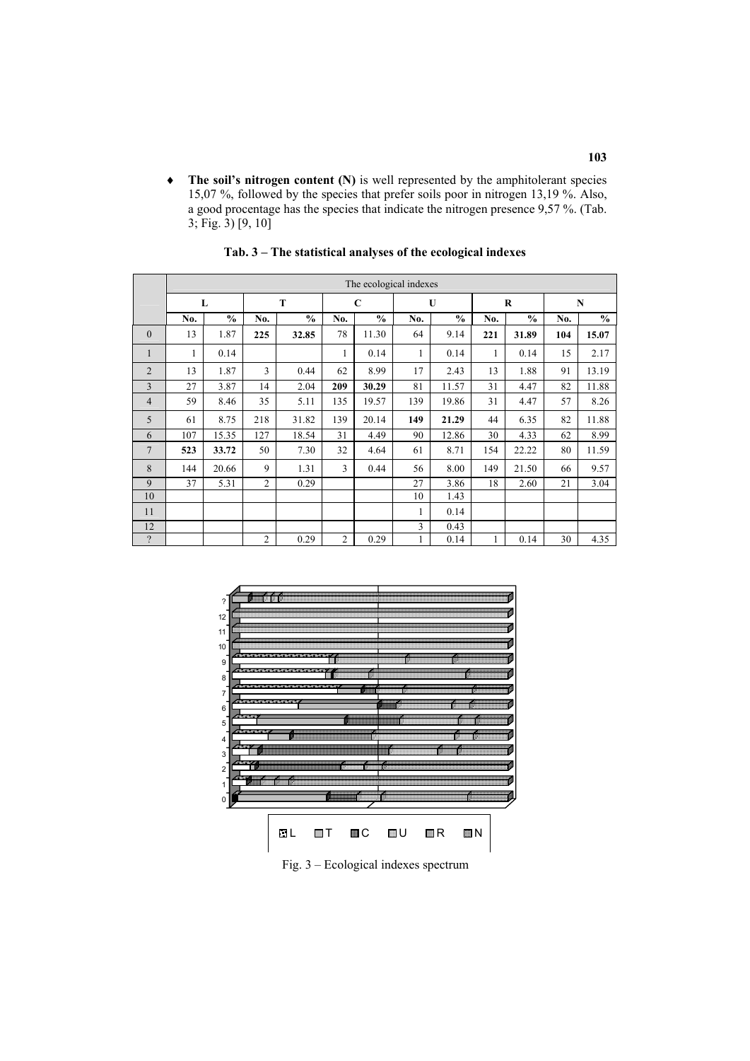The soil's nitrogen content (N) is well represented by the amphitolerant species 15,07 %, followed by the species that prefer soils poor in nitrogen 13,19 %. Also, a good procentage has the species that indicate the nitrogen presence 9,57 %. (Tab. 3; Fig. 3) [9, 10]

|                | The ecological indexes |               |                |               |                |               |     |               |     |               |     |               |
|----------------|------------------------|---------------|----------------|---------------|----------------|---------------|-----|---------------|-----|---------------|-----|---------------|
|                | L                      |               | T              |               | $\mathbf C$    |               | U   | $\bf R$       |     | $\mathbf N$   |     |               |
|                | No.                    | $\frac{0}{0}$ | No.            | $\frac{0}{0}$ | No.            | $\frac{0}{0}$ | No. | $\frac{0}{0}$ | No. | $\frac{0}{0}$ | No. | $\frac{0}{0}$ |
| $\mathbf{0}$   | 13                     | 1.87          | 225            | 32.85         | 78             | 11.30         | 64  | 9.14          | 221 | 31.89         | 104 | 15.07         |
| 1              | 1                      | 0.14          |                |               | 1              | 0.14          | 1   | 0.14          | 1   | 0.14          | 15  | 2.17          |
| $\overline{2}$ | 13                     | 1.87          | 3              | 0.44          | 62             | 8.99          | 17  | 2.43          | 13  | 1.88          | 91  | 13.19         |
| 3              | 27                     | 3.87          | 14             | 2.04          | 209            | 30.29         | 81  | 11.57         | 31  | 4.47          | 82  | 11.88         |
| $\overline{4}$ | 59                     | 8.46          | 35             | 5.11          | 135            | 19.57         | 139 | 19.86         | 31  | 4.47          | 57  | 8.26          |
| 5              | 61                     | 8.75          | 218            | 31.82         | 139            | 20.14         | 149 | 21.29         | 44  | 6.35          | 82  | 11.88         |
| 6              | 107                    | 15.35         | 127            | 18.54         | 31             | 4.49          | 90  | 12.86         | 30  | 4.33          | 62  | 8.99          |
| $\overline{7}$ | 523                    | 33.72         | 50             | 7.30          | 32             | 4.64          | 61  | 8.71          | 154 | 22.22         | 80  | 11.59         |
| 8              | 144                    | 20.66         | 9              | 1.31          | 3              | 0.44          | 56  | 8.00          | 149 | 21.50         | 66  | 9.57          |
| 9              | 37                     | 5.31          | $\overline{2}$ | 0.29          |                |               | 27  | 3.86          | 18  | 2.60          | 21  | 3.04          |
| 10             |                        |               |                |               |                |               | 10  | 1.43          |     |               |     |               |
| 11             |                        |               |                |               |                |               | 1   | 0.14          |     |               |     |               |
| 12             |                        |               |                |               |                |               | 3   | 0.43          |     |               |     |               |
| $\gamma$       |                        |               | $\overline{2}$ | 0.29          | $\overline{2}$ | 0.29          | 1   | 0.14          | 1   | 0.14          | 30  | 4.35          |

**Tab. 3 – The statistical analyses of the ecological indexes** 



Fig. 3 – Ecological indexes spectrum